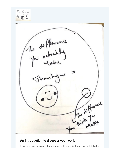

## **An introduction to discover your world**

All we can ever do is use what we have, right here, right now, to simply take the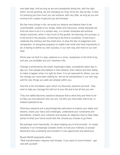next best step. And as long as we are consistently doing this, with the right intent, we are growing, we are changing our lives, bit by bit, day by day. In fact, it's amazing just how much you can achieve, with very little, as long as you are coming from a place of genuine joy and honesty.

But like many things in life, we avoid our dreams and believe them to be unachievable, outside of our scope, ability and resources, simply because we think we have to do it in a certain way, in a certain timescale and achieve certain outcomes, when in fact much of the growth, the learning, the success, is to be found in the process, of learning to be kind to ourselves, of learning to celebrate the ordinary and the small wins, to drop the fear of judgement and comparison, to recognise progress no matter how small and most importantly of all, of daring to define our own success, in our own way and move to our own beat.

Rome was not built in a day, patience is a virtue, comparison is the thief of joy and yes, you probably are your harshest critic.

Change is achieved by the small, meaningful steps, consistently taken day in, day out, from people who believe in their dreams, their instinct and their ability to make it happen when it is right for them. It is not reserved for others, you are the change you have been waiting for, we are all extraordinary in our own way and the very things you seek are already within you.

And this is the foundation upon which my discovery sessions are built - they exist to help you manage the hell out of your life and to be all that you can.

They are called discovery sessions because that is what they are there to do to help you truly discover who you are, not who you have been told to be, or indeed expected to be.

Discovery sessions are a psychologically safe place to explore your ideas and dreams, share your fears and challenges, understand your constraints and boundaries, unleash your creativity and access an objective view to help make sense of what your future could look like, should you choose to go there.

But perhaps most importantly, it's about helping you to find yourself - to create simplicity in an increasingly complex world, to trust your instincts, to accept discomfort and uncertainty and transform it into opportunity and adventure.

## Bryant McGill poignantly writes:

"Real transformation requires real honesty. If you want to move forward – get real with yourself."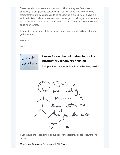These introductory sessions last around 1.5 hours, they are free, there is absolutely no obligation to buy anything, you will not be emailed every day thereafter trying to persuade you to go ahead, this is exactly what it says it is an introduction to allow us to meet, see how we get on, allow you to experience the process and create some headspace to reflect on what it is you really want to do with your life.

Please do book a space if this speaks to your heart and we will see where we go from there.

With love

Nik x



## **Please follow the link below to book an introductory discovery session**

Book your free place for an [introductory](https://www.eventbrite.co.uk/e/a-discovery-session-introduction-tickets-141141545161) discovery session



If you would like to read more about discovery sessions, please follow the link below:

More about [Discovery](https://nikdavis.com/individual-transformation) Sessions with Nik Davis